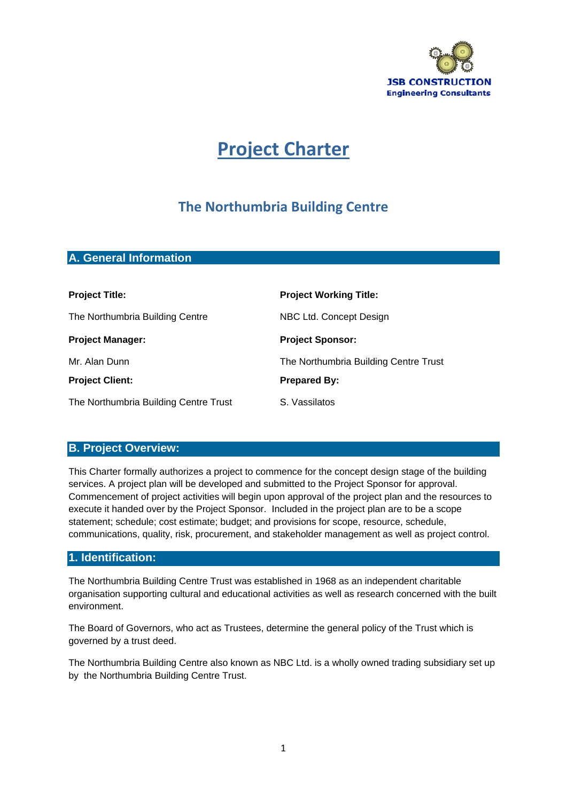

# **Project Charter**

# **The Northumbria Building Centre**

## **A. General Information**

| <b>Project Title:</b>                 | <b>Project Working Title:</b>         |  |
|---------------------------------------|---------------------------------------|--|
| The Northumbria Building Centre       | NBC Ltd. Concept Design               |  |
| <b>Project Manager:</b>               | <b>Project Sponsor:</b>               |  |
| Mr. Alan Dunn                         | The Northumbria Building Centre Trust |  |
| <b>Project Client:</b>                | <b>Prepared By:</b>                   |  |
| The Northumbria Building Centre Trust | S. Vassilatos                         |  |

## **B. Project Overview:**

This Charter formally authorizes a project to commence for the concept design stage of the building services. A project plan will be developed and submitted to the Project Sponsor for approval. Commencement of project activities will begin upon approval of the project plan and the resources to execute it handed over by the Project Sponsor. Included in the project plan are to be a scope statement; schedule; cost estimate; budget; and provisions for scope, resource, schedule, communications, quality, risk, procurement, and stakeholder management as well as project control.

## **1. Identification:**

The Northumbria Building Centre Trust was established in 1968 as an independent charitable organisation supporting cultural and educational activities as well as research concerned with the built environment.

The Board of Governors, who act as Trustees, determine the general policy of the Trust which is governed by a trust deed.

The Northumbria Building Centre also known as NBC Ltd. is a wholly owned trading subsidiary set up by the Northumbria Building Centre Trust.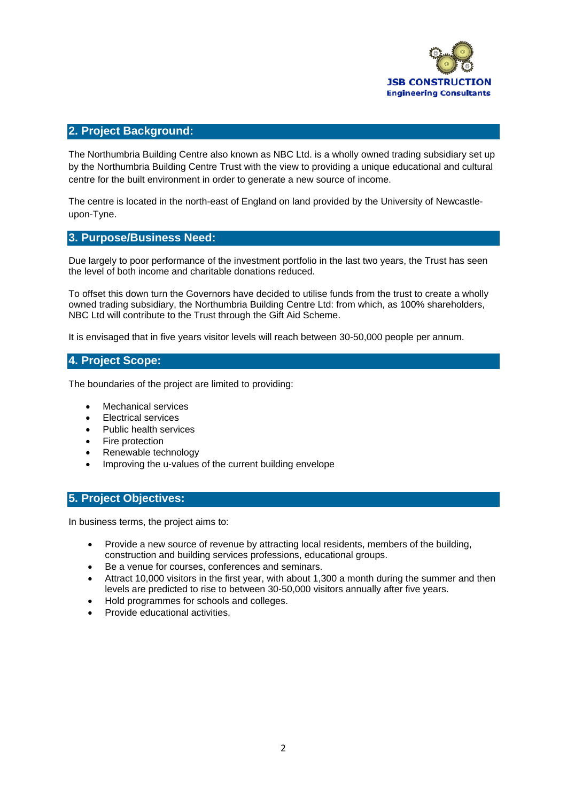

#### **2. Project Background:**

The Northumbria Building Centre also known as NBC Ltd. is a wholly owned trading subsidiary set up by the Northumbria Building Centre Trust with the view to providing a unique educational and cultural centre for the built environment in order to generate a new source of income.

The centre is located in the north-east of England on land provided by the University of Newcastleupon-Tyne.

#### **3. Purpose/Business Need:**

Due largely to poor performance of the investment portfolio in the last two years, the Trust has seen the level of both income and charitable donations reduced.

To offset this down turn the Governors have decided to utilise funds from the trust to create a wholly owned trading subsidiary, the Northumbria Building Centre Ltd: from which, as 100% shareholders, NBC Ltd will contribute to the Trust through the Gift Aid Scheme.

It is envisaged that in five years visitor levels will reach between 30-50,000 people per annum.

## **4. Project Scope:**

The boundaries of the project are limited to providing:

- Mechanical services
- Electrical services
- Public health services
- Fire protection
- Renewable technology
- Improving the u-values of the current building envelope

#### **5. Project Objectives:**

In business terms, the project aims to:

- Provide a new source of revenue by attracting local residents, members of the building, construction and building services professions, educational groups.
- Be a venue for courses, conferences and seminars.
- Attract 10,000 visitors in the first year, with about 1,300 a month during the summer and then levels are predicted to rise to between 30-50,000 visitors annually after five years.
- Hold programmes for schools and colleges.
- Provide educational activities,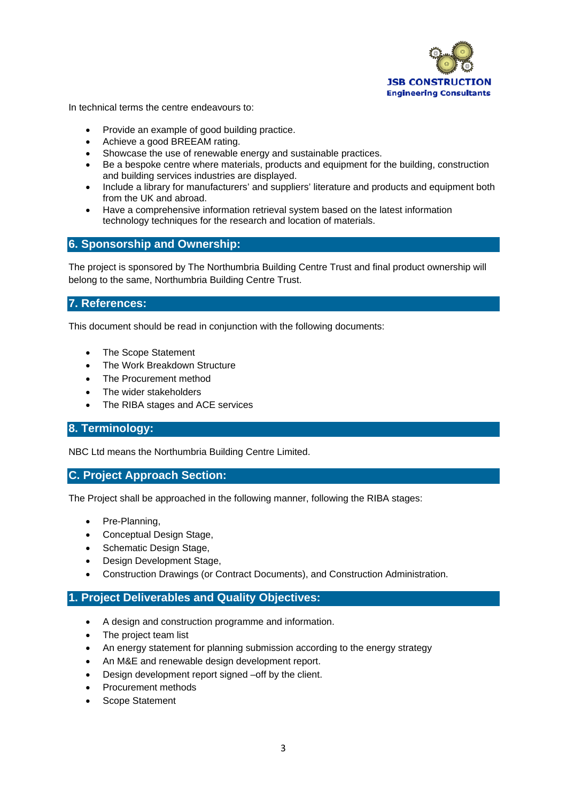

In technical terms the centre endeavours to:

- Provide an example of good building practice.
- Achieve a good BREEAM rating.
- Showcase the use of renewable energy and sustainable practices.
- Be a bespoke centre where materials, products and equipment for the building, construction and building services industries are displayed.
- Include a library for manufacturers' and suppliers' literature and products and equipment both from the UK and abroad.
- Have a comprehensive information retrieval system based on the latest information technology techniques for the research and location of materials.

#### **6. Sponsorship and Ownership:**

The project is sponsored by The Northumbria Building Centre Trust and final product ownership will belong to the same, Northumbria Building Centre Trust.

#### **7. References:**

This document should be read in conjunction with the following documents:

- The Scope Statement
- The Work Breakdown Structure
- The Procurement method
- The wider stakeholders
- The RIBA stages and ACE services

## **8. Terminology:**

NBC Ltd means the Northumbria Building Centre Limited.

#### **C. Project Approach Section:**

The Project shall be approached in the following manner, following the RIBA stages:

- Pre-Planning,
- Conceptual Design Stage,
- Schematic Design Stage.
- Design Development Stage,
- Construction Drawings (or Contract Documents), and Construction Administration.

## **1. Project Deliverables and Quality Objectives:**

- A design and construction programme and information.
- The project team list
- An energy statement for planning submission according to the energy strategy
- An M&E and renewable design development report.
- Design development report signed –off by the client.
- Procurement methods
- Scope Statement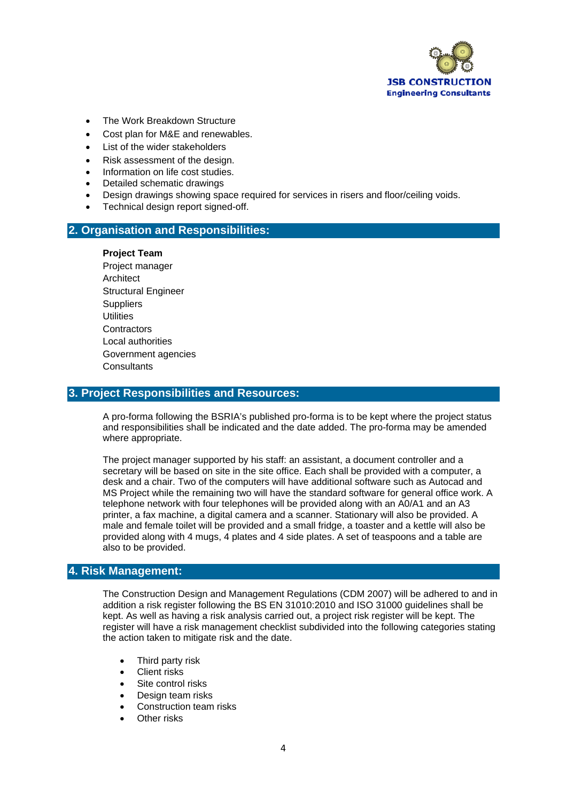

- The Work Breakdown Structure
- Cost plan for M&E and renewables.
- List of the wider stakeholders
- Risk assessment of the design.
- Information on life cost studies.
- Detailed schematic drawings
- Design drawings showing space required for services in risers and floor/ceiling voids.
- Technical design report signed-off.

#### **2. Organisation and Responsibilities:**

#### **Project Team**

Project manager **Architect** Structural Engineer **Suppliers Utilities Contractors** Local authorities Government agencies **Consultants** 

## **3. Project Responsibilities and Resources:**

A pro-forma following the BSRIA's published pro-forma is to be kept where the project status and responsibilities shall be indicated and the date added. The pro-forma may be amended where appropriate.

The project manager supported by his staff: an assistant, a document controller and a secretary will be based on site in the site office. Each shall be provided with a computer, a desk and a chair. Two of the computers will have additional software such as Autocad and MS Project while the remaining two will have the standard software for general office work. A telephone network with four telephones will be provided along with an A0/A1 and an A3 printer, a fax machine, a digital camera and a scanner. Stationary will also be provided. A male and female toilet will be provided and a small fridge, a toaster and a kettle will also be provided along with 4 mugs, 4 plates and 4 side plates. A set of teaspoons and a table are also to be provided.

## **4. Risk Management:**

The Construction Design and Management Regulations (CDM 2007) will be adhered to and in addition a risk register following the BS EN 31010:2010 and ISO 31000 guidelines shall be kept. As well as having a risk analysis carried out, a project risk register will be kept. The register will have a risk management checklist subdivided into the following categories stating the action taken to mitigate risk and the date.

- Third party risk
- Client risks
- Site control risks
- Design team risks
- Construction team risks
- Other risks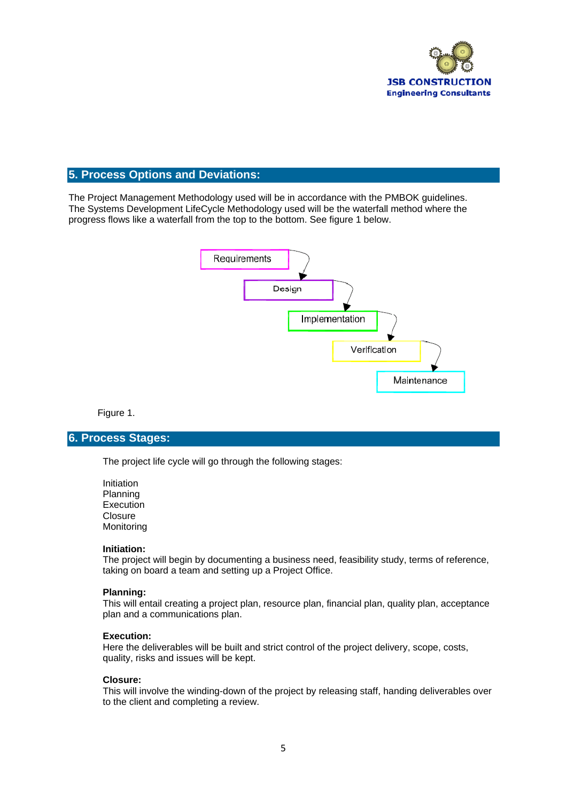

## **5. Process Options and Deviations:**

The Project Management Methodology used will be in accordance with the PMBOK guidelines. The Systems Development LifeCycle Methodology used will be the waterfall method where the progress flows like a waterfall from the top to the bottom. See figure 1 below.



Figure 1.

#### **6. Process Stages:**

The project life cycle will go through the following stages:

Initiation Planning **Execution Closure** Monitoring

#### **Initiation:**

The project will begin by documenting a business need, feasibility study, terms of reference, taking on board a team and setting up a Project Office.

#### **Planning:**

This will entail creating a project plan, resource plan, financial plan, quality plan, acceptance plan and a communications plan.

#### **Execution:**

Here the deliverables will be built and strict control of the project delivery, scope, costs, quality, risks and issues will be kept.

#### **Closure:**

This will involve the winding-down of the project by releasing staff, handing deliverables over to the client and completing a review.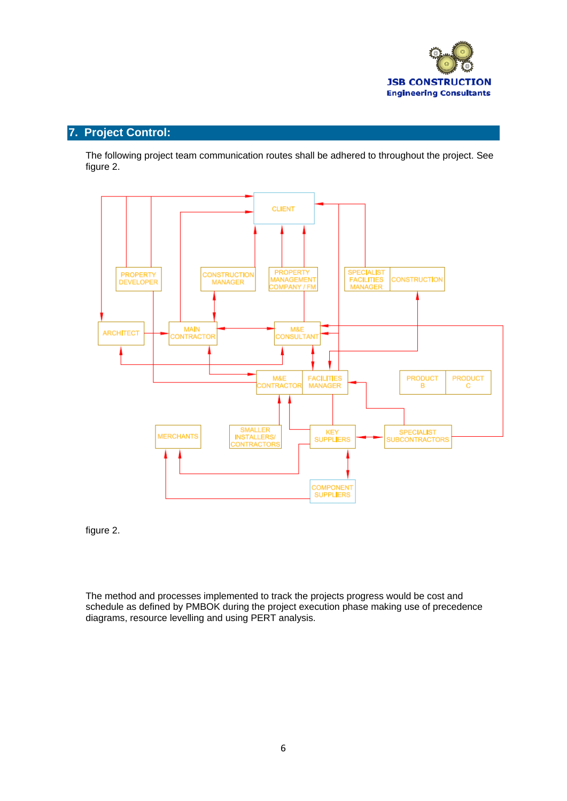

# **7. Project Control:**

The following project team communication routes shall be adhered to throughout the project. See figure 2.



figure 2.

The method and processes implemented to track the projects progress would be cost and schedule as defined by PMBOK during the project execution phase making use of precedence diagrams, resource levelling and using PERT analysis.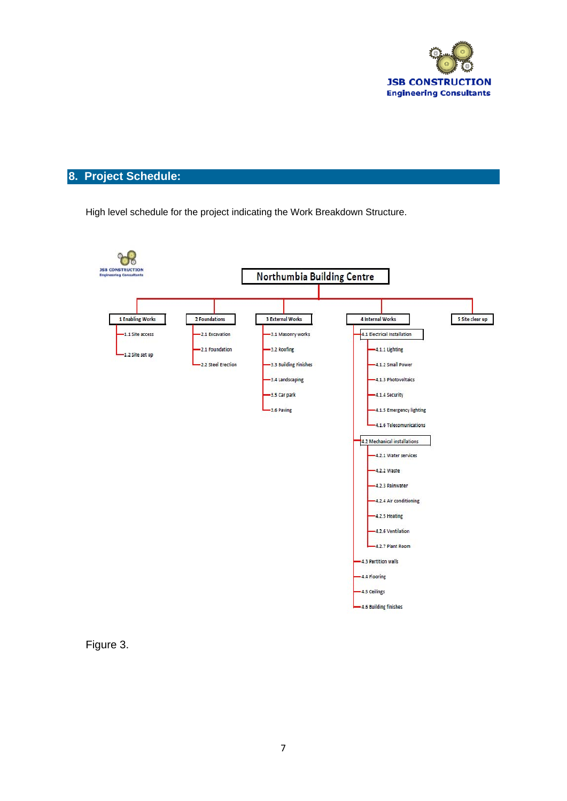

# **8. Project Schedule:**

High level schedule for the project indicating the Work Breakdown Structure.



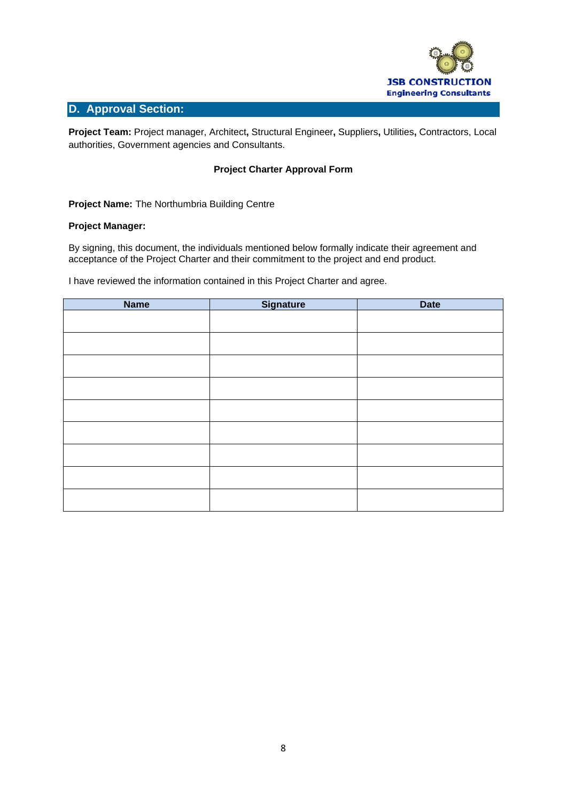

### **D. Approval Section:**

**Project Team:** Project manager, Architect**,** Structural Engineer**,** Suppliers**,** Utilities**,** Contractors, Local authorities, Government agencies and Consultants.

#### **Project Charter Approval Form**

**Project Name:** The Northumbria Building Centre

#### **Project Manager:**

By signing, this document, the individuals mentioned below formally indicate their agreement and acceptance of the Project Charter and their commitment to the project and end product.

I have reviewed the information contained in this Project Charter and agree.

| <b>Name</b> | <b>Signature</b> | <b>Date</b> |
|-------------|------------------|-------------|
|             |                  |             |
|             |                  |             |
|             |                  |             |
|             |                  |             |
|             |                  |             |
|             |                  |             |
|             |                  |             |
|             |                  |             |
|             |                  |             |